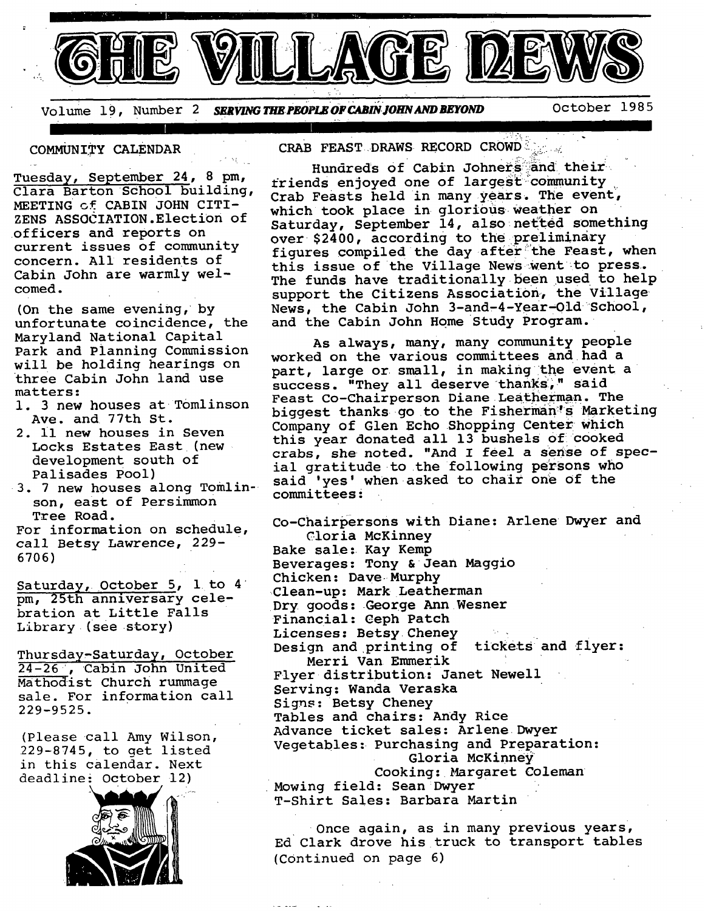

Volume 19, Number *SERVING THE PEOPLE OF CABIN JOHN AND BEYOND* October 1985

يجون المنافذ

#### COMMUNITY CALENDAR

Tuesday, September 24, 8 pm, Clara Barton School building, MEETING Gf CABIN JOHN CITI-ZENS ASSOCIATION.Election of officers and reports on current issues of community concern. All residents of Cabin John are warmly welcomed.

(On the same evening, by unfortunate coincidence, the Maryland National Capital Park and Planning Commission will be holding hearings on three Cabin John land use matters :

- 1. 3 new houses at Tomlinson Ave. and 77th St.
- 2. il new houses in Seven Locks Estates East (new development south of Palisades Pool)
- 3. 7 new houses along Tomlinson, east of Persimmon Tree Road.

For information on schedule, call Betsy Lawrence, 229- 6706)

Saturday, October 5, 1 to 4 pm, 25th anniversary celebration at Little Falls Library (see story)

Thursday-Saturday, October 24-26, Cabin John United Mathodist Church rummage sale. For information call 229-9525.

(Please call Amy Wilson, 229-8745, to get listed in this calendar. Next deadline: October 12)



CRAB FEAST DRAWS RECORD CROWD

Hundreds of Cabin Johners and their friends enjoyed one of largest community Crab Feasts held in many years. The event, which took place in glorious weather on Saturday, September 14, also netted something over \$2400, according to the preliminary figures compiled the day after the Feast, when this issue of the Village News-went to press. The funds have traditionally been used to help support the Citizens Association, the Village News, the Cabin John 3-and-4-Year-Old School, and the Cabin John Home Study Program.

.... **I I** 

As always, many, many community people worked on the various committees and had a part, large or small, in making the event a success. "They all deserve thanks," said Feast Co-Chairperson Diane Leatherman. The biggest thanks go to the Fisherman's Marketing Company of Glen Echo Shopping Center Which this year donated all 13 bushels of cooked crabs, she noted. "And I feel a sense of special gratitude to the following persons who said 'yes' when asked to chair one of the committees •

Co-Chairpersons with Diane: Arlene Dwyer and Cloria McKinney Bake sale: Kay Kemp Beverages: Tony & Jean Maggio Chicken: Dave Murphy Clean-up: Mark Leatherman Dry goods: George Ann Wesner Financial: Ceph Patch Licenses: Betsy Cheney Design and printing of tickets and flyer: Merri Van Emmerik Flyer distribution: Janet Newell Serving: Wanda Veraska Signs: Betsy Cheney Tables and chairs: Andy Rice Advance ticket sales: Arlene Dwyer Vegetables: Purchasing and Preparation: Gloria McKinney Cooking: Margaret Coleman Mowing field: Sean Dwyer T-Shirt Sales: Barbara Martin

Once again, as in many previous years, Ed Clark drove his truck to transport tables (Continued on page 6)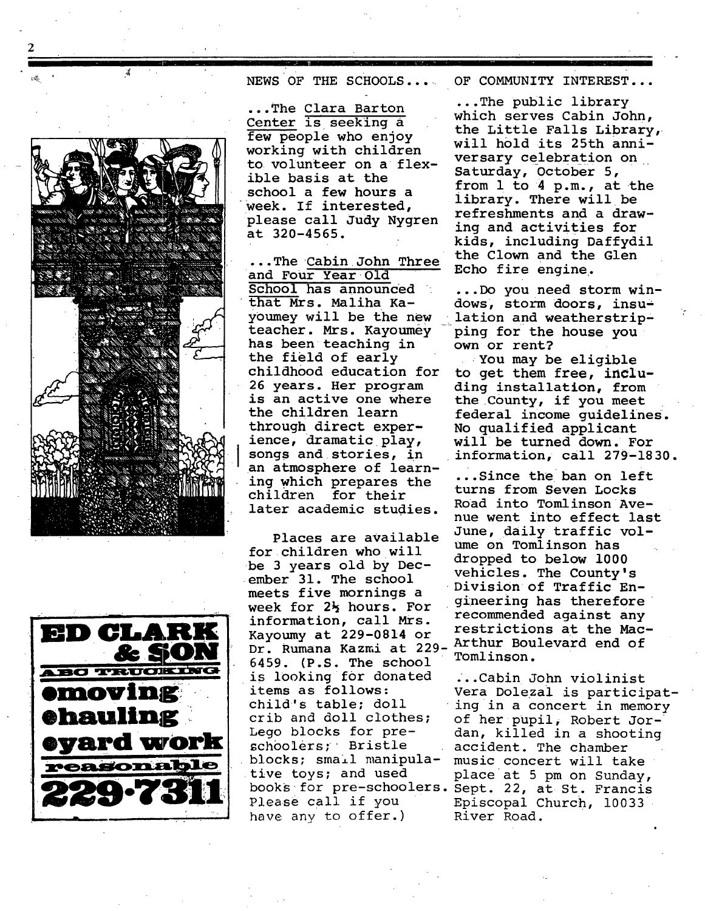



NEWS OF THE SCHOOLS... OF COMMUNITY INTEREST...

...The Clara Barton Center is seeking a few people who enjoy working with children to volunteer on a flexible basis at the school a few hours a week. If interested, please call Judy Nygren at 320-4565.

...The Cabin John Three and Four Year Old School has announced that Mrs. Maliha Ka teacher. Mrs. Kayoumey Iping for the house you has been teaching in own or rent? the field of early childhood education for 26 years. Her program is an active one where the children learn through direct experience, dramatic play, songs and stories, in an atmosphere of learning which prepares the children for their later academic studies.

Places are available for children who will be 3 years old by December 31. The school meets five mornings a week for 2% hours. For information, call Mrs. restrictions at the Mac- Kayoumy at 229-0814 or Dr. Rumana Kazmi at 229-Arthur Boulevard end of  $6459.$  (P.S. The school is looking for donated items as follows: child's table; doll crib and doll clothes; Lego blocks for preschoolers; Bristle tive toys; and used place at 5 pm on Sunday, have any to offer.) River Road.

...The public library which serves Cabin John, the Little Falls Library, will h01d its 25th anniversary celebration on Saturday, October 5, from 1 to 4 p.m., at the library. There will be refreshments and a drawing and activities for kids, including Daffydil the Clown and the Glen Echo fire engine.

...Do you need storm windows, storm doors, insuyoumey will be the new lation and weatherstrip-

> You may be eligible to get them free, including installation, from the County, if you meet federal income guidelines;. No qualified applicant will be turned down. For information, call 279-1830.

...Since the ban on left turns from Seven Locks Road into Tomlinson Avenue went into effect last June, daily traffic volume on Tomlinson has dropped to below i000 vehicles. The County's Division of Traffic Engineering has therefore recommended against any

blocks; small manipula- music concert will take books for pre-schoolers. Sept. 22, at St. Francis Please call if you Episcopal Church, 10033 ...Cabin John violinist Vera Dolezai is participating in a concert in memory of her pupil, Robert Jordan, killed in a shooting accident. The chamber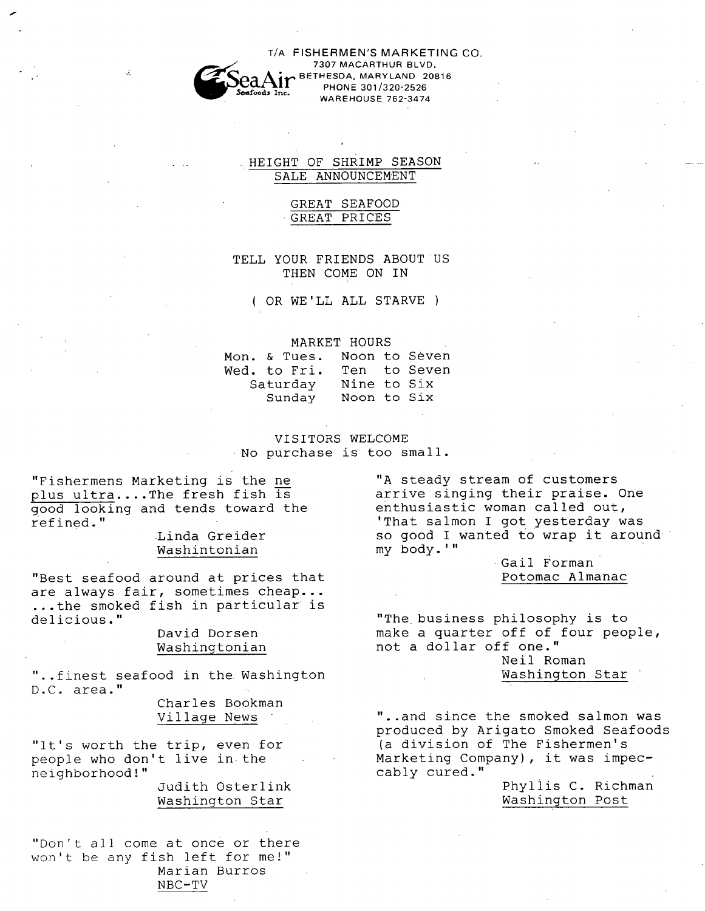

T/A FISHERMEN'S MARKETING CO.<br>
<sup>7307</sup> MACARTHUR BLVD.<br> **Coa Air Bethesda, Maryland 20816** PHONE 301/320-2526 Seads Inc.<br>WAREHOUSE 762-3474

#### **HEIGHT OF sHRIMP SEASON**  SALE ANNOUNCEMENT

# GREAT SEAFOOD GREAT PRICES

# TELL YOUR FRIENDS ABOUT US THEN COME ON IN

( OR WE'LL ALL STARVE )

MARKET HOURS<br>ues. Noon to Seven Mon. & Tues. Wed. to Fri. Ten to Seven Saturday Nine to Six Sunday Noon to Six

#### VISITORS WELCOME No purchase is too small.

"Fishermens Marketing is the ne plus ultra.... The fresh fish  $\overline{1s}$ good looking and tends toward the refined."

# Linda Greider Washintonian

"Best seafood around at prices that are always fair, sometimes cheap... ...the smoked fish in particular is delicious."

## David Dorsen Washingtonian

"..finest seafood in the Washington D.C. area."

> Charles Bookman Village News

"It's worth the trip, even for people who don't live in the neighborhood!"

Judith Osterlink Washington Star

"Don't all come at once or there won't be any fish left for me!" Marian Burros NBC-TV

"A steady stream of customers arrive singing their praise. One enthusiastic woman called out, 'That salmon I got yesterday was so good I wanted to wrap it around my body.'"

> Gail Forman Potomac Almanac

"The business philosophy is to make a quarter off of four people, not a dollar off one." Neil Roman

Washington Star

"..and since the smoked salmon was produced by Arigato Smoked Seafoods (a division of The Fishermen's Marketing Company), it was impeccably cured."

> Phyllis C. Richman Washington Post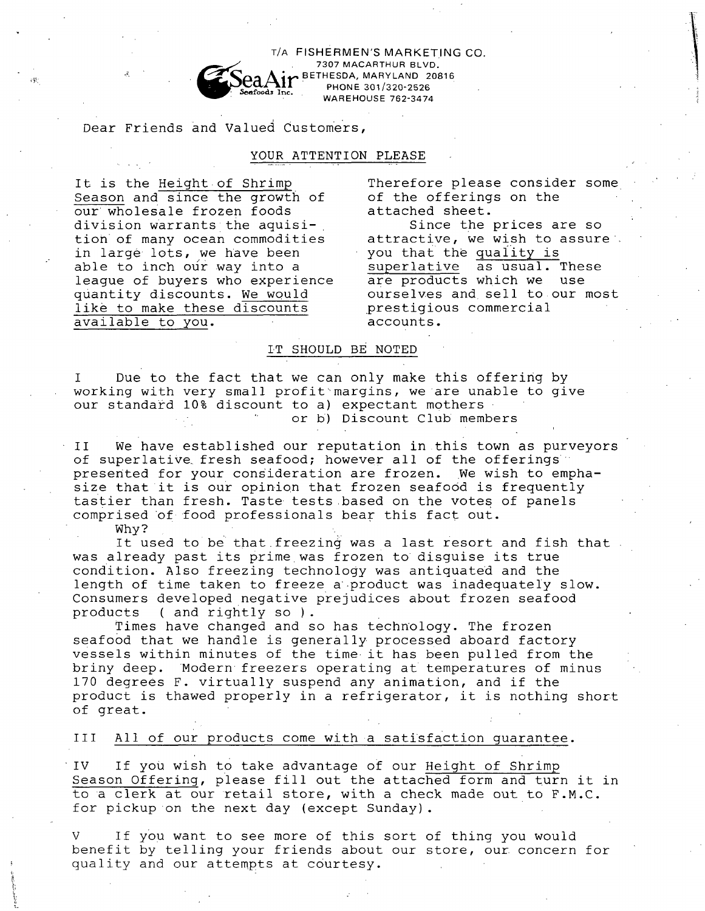T/A FISHERMEN'S MARKETING CO.<br>**7307 MACARTHUR BLVD.** BETHESDA, MARYLAND 20816 PHONE 301/320-2526 WAREHOUSE 762-3474

Dear Friends and Valued Customers,

# YOUR ATTENTION PLEASE

It is the Height of Shrimp Season and since the growth of our wholesale frozen foods division warrants the aquisition of many ocean commodities in large lots, we have been able to inch our way into a league of buyers who experience quantity discounts. We would like to make these discounts available to you.

Therefore please consider some of the offerings on the attached sheet.

Since the prices are so attractive, we wish to assure a you that the quality is superlative as usual. These are products which we use ourselves and sell to our most prestigious commercial accounts.

#### LT SHOULD BE NOTED

I Due to the fact that we can only make this offering by working with very small profit~margins, we are unable to give our standard 10% discount to a) expectant mothers or b) Discount Club members

II We have established our reputation in this town as purveyors of superlative fresh seafood; however all of the offerings presented for your consideration are frozen. We wish to emphasize that it is our opinion that frozen seafood is frequently tastier than fresh. Taste tests based on the votes of panels comprised Of food professionals bear this fact out.

Why?

It used to be that freezing was a last resort and fish that was already past its prime was frozen to disquise its true condition. Also freezing technology was antiquated and the length of time taken to freeze a product was inadequately slow. Consumers developed negative prejudices about frozen seafood products ( and rightly so ).

Times have changed and so has technology. The frozen seafood that we handle is generally processed aboard factory vessels within minutes of the time it has been pulled from the briny deep. Modern freezers operating at temperatures of minus 170 degrees F. virtually suspend any animation, and if the product is thawed properly in a refrigerator, it is nothing short of great.

#### III All of our products come with a satisfaction guarantee.

IV If you wish to take advantage of our Height of Shrimp Season Offering, please fill out the attached form and turn it in to a clerk at our retail store, with a check made out to F.M.C. for pickup on the next day (except Sunday).

If you want to see more of this sort of thing you would benefit by telling your friends about our store, our concern for quality and our attempts at courtesy.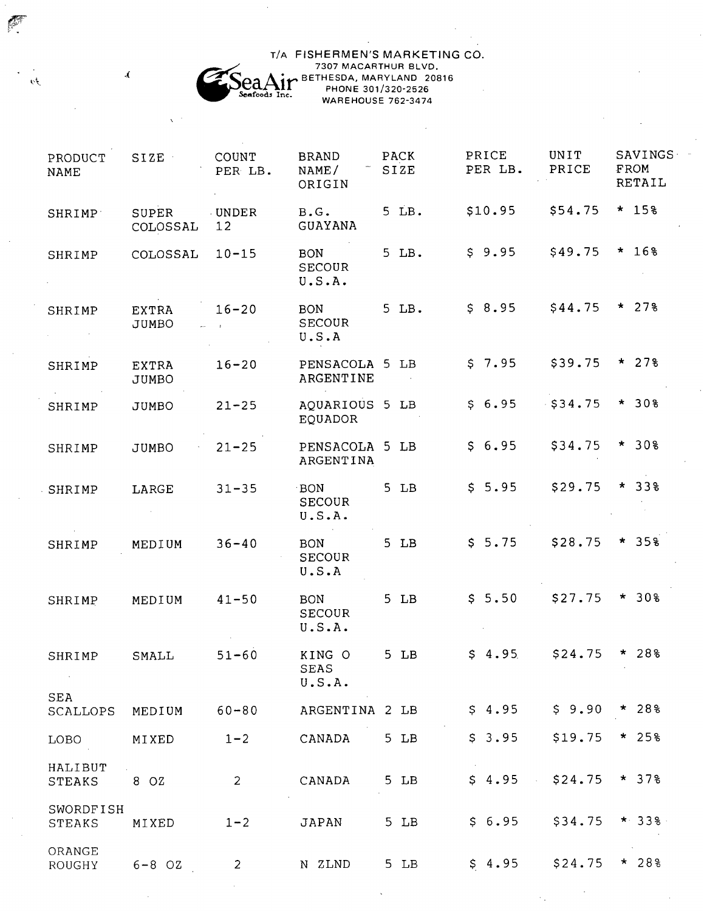# T/A FISHERMEN'S MARKETING CO.<br>
7307 MACARTHUR BLVD.<br> **ELLE DE THESDA, MARYLAND 20816**  $\frac{64}{5}$  PHONE 301/320-2526 WAREHOUSE 762-3474

P

 $\overline{\mathcal{D}}$ 

 $\bar{\mathcal{A}}$ 

| PRODUCT<br><b>NAME</b> | SIZE                  | <b>COUNT</b><br>PER LB.         | <b>BRAND</b><br>NAME/<br>ORIGIN       | <b>PACK</b><br>SIZE | PRICE<br>PER LB. | UNIT<br>PRICE | SAVINGS<br>FROM<br>RETAIL |
|------------------------|-----------------------|---------------------------------|---------------------------------------|---------------------|------------------|---------------|---------------------------|
| SHRIMP <sup>-</sup>    | SUPER<br>COLOSSAL     | <b>UNDER</b><br>12 <sup>°</sup> | B.G.<br>GUAYANA                       | $5$ LB.             | \$10.95          | \$54.75       | $* 158$                   |
| SHRIMP                 | COLOSSAL              | $10 - 15$                       | <b>BON</b><br><b>SECOUR</b><br>U.S.A. | 5 LB.               | \$9.95           | \$49.75       | $* 168$                   |
| SHRIMP                 | EXTRA<br>JUMBO        | $16 - 20$                       | <b>BON</b><br><b>SECOUR</b><br>U.S.A  | 5 LB.               | \$8.95           | \$44.75       | $* 278$                   |
| SHRIMP                 | EXTRA<br><b>JUMBO</b> | $16 - 20$                       | PENSACOLA 5 LB<br>ARGENTINE           |                     | \$7.95           | \$39.75       | $* 278$                   |
| SHRIMP                 | JUMBO                 | $21 - 25$                       | AQUARIOUS 5 LB<br>EQUADOR             |                     | \$6.95           | $-$ \$34.75   | $* 308$                   |
| SHRIMP                 | JUMBO                 | $21 - 25$                       | PENSACOLA 5 LB<br>ARGENTINA           |                     | \$6.95           | \$34.75       | $* 308$                   |
| SHRIMP                 | LARGE                 | $31 - 35$                       | BON<br><b>SECOUR</b><br>U.S.A.        | $5$ $LB$            | \$5.95           | \$29.75       | $* 338$                   |
| SHRIMP                 | MEDIUM                | $36 - 40$                       | <b>BON</b><br><b>SECOUR</b><br>U.S.A  | $5$ $LB$            | \$5.75           | \$28.75       | $* 358$                   |
| SHRIMP                 | MEDIUM                | $41 - 50$                       | <b>BON</b><br>SECOUR<br>U.S.A.        | $5$ LB              | \$5.50           | \$27.75       | $* 308$                   |
| SHRIMP                 | SMALL                 | $51 - 60$                       | KING O<br><b>SEAS</b><br>U.S.A.       | $5$ LB              | \$4.95           | \$24.75       | $* 288$                   |
| <b>SEA</b><br>SCALLOPS | MEDIUM                | $60 - 80$                       | ARGENTINA 2 LB                        |                     | \$4.95           | \$9.90        | $* 288$                   |
| LOBO                   | MIXED                 | $1 - 2$                         | CANADA                                | $5$ $LB$            | \$3.95           | \$19.75       | $* 258$                   |
| HALIBUT<br>STEAKS      | 8 OZ                  | $\overline{2}$                  | CANADA                                | $5$ $LB$            | \$4.95           | \$24.75       | $* 378$                   |
| SWORDFISH<br>STEAKS    | MIXED                 | $1 - 2$                         | <b>JAPAN</b>                          | 5 LB                | \$6.95           | \$34.75       | $*338.$                   |
| ORANGE<br>ROUGHY       | $6 - 8$ OZ            | $\overline{2}$                  | N ZLND                                | $5$ LB              | \$4.95           | \$24.75       | $* 288$                   |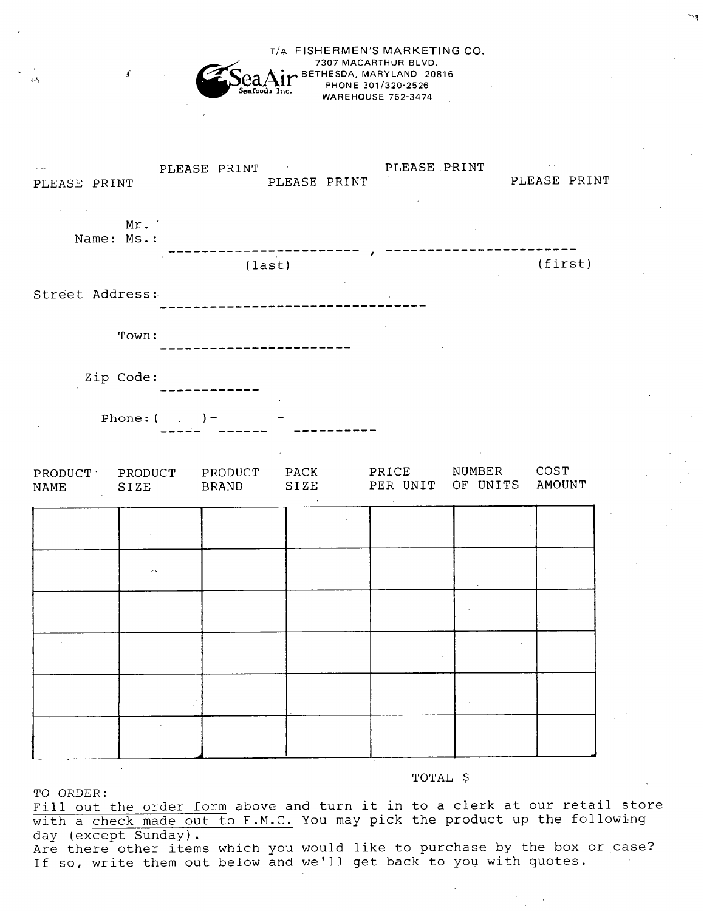**T/A FISHERMEN'S MARKETING CO.**<br>
7307 MACARTHUR BLVD.<br> **Coa A in BETHESDA, MARYLAND 20816** PHONE 301/320-2526 WAREHOUSE 762-3474



#### TOTAL \$

TO ORDER:

Fill out the order form above and turn it in to a clerk at our retail store with a check made out to F.M.C. You may pick the product up the following day (except Sunday).

Are there other items which you would like to purchase by the box or case? If so, write them out below and we'll get back to you with quotes.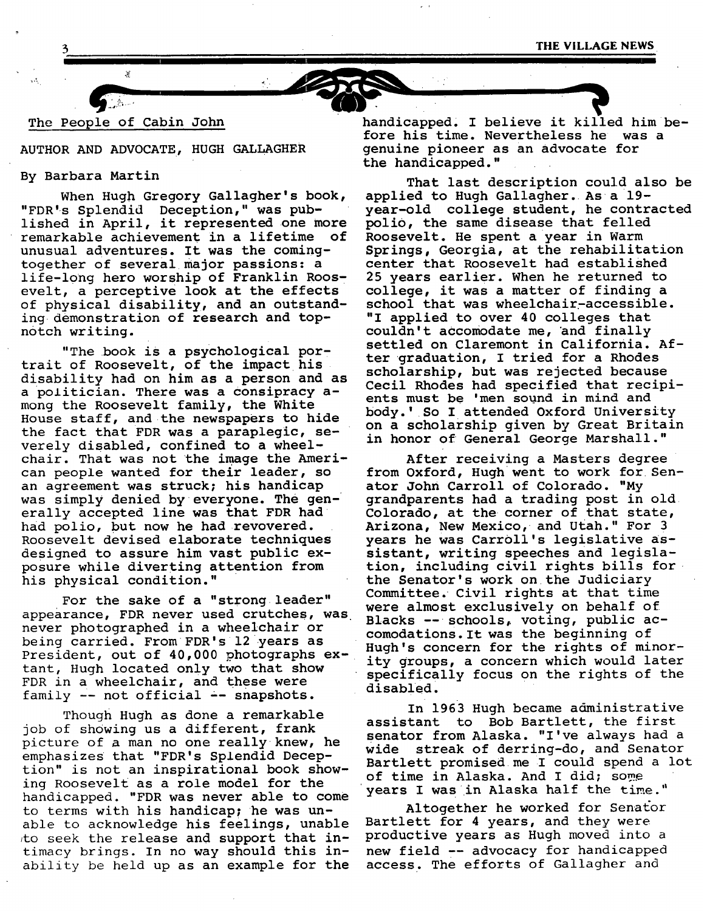# The People of Cabin John

#### AUTHOR AND ADVOCATE, HUGH GALLAGHER

#### By Barbara Martin

When Hugh Gregory Gallagher's book, "FDR's Splendid Deception," was published in April, it represented one more remarkable achievement in a lifetime of unusual adventures. It was the comingtogether of several major passions: a life-long hero worship of Franklin Roosevelt, a perceptive look at the effects of physical disability, and an outstanding. demonstration of research and topnotch writing.

"The book is a psychological portrait of Roosevelt, of the impact his disability had on him as a person and as a politician. There was a consipracy among the Roosevelt family, the White House staff, and the newspapers to hide the fact that FDR was a paraplegic, severely disabled, confined to a wheelchair. That was not the image the American people wanted for their leader, so an agreement was struck; his handicap was simply denied by everyone. The generally accepted line was that FDR had had polio, but now he had revovered. Roosevelt devised elaborate techniques designed to assure him vast public exposure while diverting attention from his physical condition."

For the sake of a "strong leader" appearance, FDR never used crutches, was never photographed in a wheelchair or being carried. From FDR's 12 years as President, out of 40,000 photographs extant, Hugh located only two that show FDR in a wheelchair, and these were family -- not official -- snapshots.

Though Hugh as done a remarkable job of showing us a different, frank picture of a man no one really knew, he emphasizes that "FDR's Splendid Deception" is not an inspirational book showing Roosevelt as a role model for the handicapped. "FDR was never able to come to terms with his handicap; he was unable to acknowledge his feelings, unable to seek the release and support that intimacy brings. In no way should this inability be held up as an example for the

handicapped. I believe it killed him before his time. Nevertheless he was a genuine pioneer as an advocate for the handicapped."

That last description could also be applied to Hugh Gallagher. As a 19 year-old college student, he contracted polio, the same disease that felled Roosevelt. He spent a year in Warm Springs, Georgia, at the rehabilitation center that Roosevelt had established 25 years earlier. When he returned to college, it was a matter of finding a school that was wheelchair-accessible. "I applied to over 40 colleges that couldn't accomodate me, and finally settled on Claremont in California. After graduation, I tried for a Rhodes scholarship, but was rejected because Cecil Rhodes had specified that recipients must be 'men sound in mind and body.' So I attended Oxford University on a scholarship given by Great Britain in honor of General George Marshall."

After receiving a Masters degree from Oxford, Hugh went to work for Senator John Carroll of Colorado. "My grandparents had a trading post in old Colorado, at the corner of that state, Arizona, New Mexico, and Utah." For 3 years he was Carroll's legislative assistant, writing speeches and legislation, including civil rights bills for • the Senator's work on the Judiciary Committee. Civil rights at that time were almost exclusively on behalf of Blacks -- schools, voting, public accomodations. It was the beginning of Hugh's concern for the rights of minority groups, a concern which would later specifically focus on the rights of the disabled.

In 1963 Hugh became administrative assistant to Bob Bartlett, the first senator from Alaska. "I've always had a wide streak of derring-do, and Senator Bartlett promised me I could spend a lot of time in Alaska. And I did; some years I was in Alaska half the time."

Altogether he worked for Senator Bartlett for 4 years, and they were productive years as Hugh moved into a new field -- advocacy for handicapped access. The efforts of Gallagher and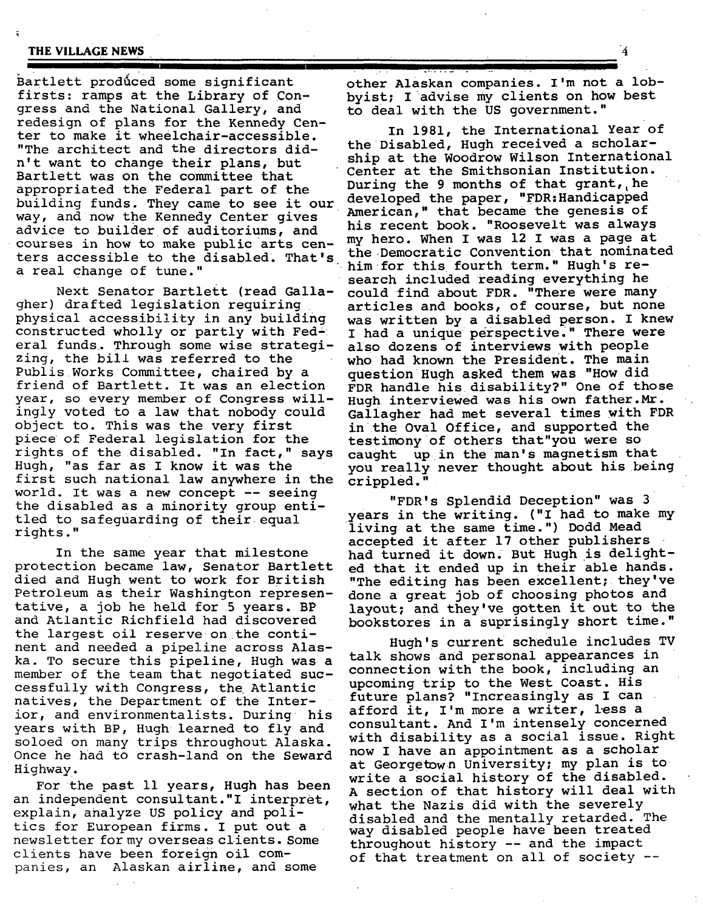#### **THE VILLAGE NEWS**

Bartlett produced some significant firsts: ramps at the Library of Congress and the National Gallery, and redesign of plans for the Kennedy Center to make it wheelchair-accessible. "The architect and the directors didn't want to change their plans, but Bartlett was on the committee that appropriated the Federal part of the building funds. They came to see it our way, and now the Kennedy Center gives advice to builder of auditoriums, and courses in how to make public arts centers accessible to the disabled. That's a real change of tune."

Next Senator Bartlett (read Gallagher) drafted legislation requiring physical accessibility in any building constructed wholly or partly with Fed-i eral funds. Through some wise strategizing, the bill was referred to the Publis Works Committee, chaired by a friend of Bartlett. It was an election year, so every member of Congress willingly voted to a law that nobody could object to. This was the very first piece of Federal legislation for the rights of the disabled. "In fact," says Hugh, "as far as I know it was the first such national law anywhere in the world. It was a new concept -- seeing the disabled as a minority group entitled to safeguarding of their equal rights."

In the same year that milestone protection became law, Senator Bartlett died and Hugh went to work for British Petroleum as their Washington representative, a job he held for 5 years. BP and Atlantic Richfield had discovered the largest oil reserve on the continent and needed a pipeline across Alaska. To secure this pipeline, Hugh was a member of the team that negotiated successfully with Congress, the Atlantic natives, the Department of the Interior, and environmentalists. During • his years with BP, Hugh learned to fly and soloed on many trips throughout Alaska. Once he had to crash-land on the Seward Highway.

For the past Ii years, Hugh has been an independent consultant."I interpret, explain, analyze US policy and politics for European firms. I put out a newsletter for my overseas clients. Some clients have been foreign oil companies, an Alaskan airline, and some

other Alaskan companies. I'm not a lobbyist; I advise my clients on how best to deal with the US government."

In 1981, the International Year of the Disabled, Hugh received a scholarship at the Woodrow Wilson International Center at the Smithsonian Institution. During the 9 months of that grant, he developed the paper, "FDR:Handicapped American," that became the genesis of his recent book. "Roosevelt was always my hero. When I was 12 I was a page at the Democratic Convention that nominated him for this fourth term." Hugh's research included reading everything he could find about FDR. "There were many articles and books, of course, but none was written by a disabled person. I knew I had a unique perspective." There were aIso dozens of interviews with people who had known the President. The main question Hugh asked them was "How did FDR handle his disability?" One of those Hugh interviewed was his own father.Mr. Galiagher had met several times with FDR in the Oval Office, and supported the testimony of others that"you were so caught up in the man's magnetism that you really never thought about his being crippled."

"FDR's Splendid Deception" was 3 years in the writing. ("I had to make my living at the same time.") Dodd Mead accepted it after 17 other publishers had turned it down. But Hugh is delighted that it ended up in their able hands. "The editing has been excellent; they've done a great job of choosing photos and layout; and they've gotten it out to the bookstores in a suprisingly short time."

Hugh's current schedule includes TV talk shows and personal appearances in connection with the book, including an upcoming trip to the West Coast. His future plans? "Increasingly as I can afford it, I'm more a writer, less a consultant. And I'm intensely concerned with disability as a social issue. Right now I have an appointment as a scholar at Georgetown University; my plan is to write a social history of the disabled. A section of that history will deal with what the Nazis did with the severely disabled and the mentally retarded. The way disabled people have been treated throughout history -- and the impact of that treatment on all of society --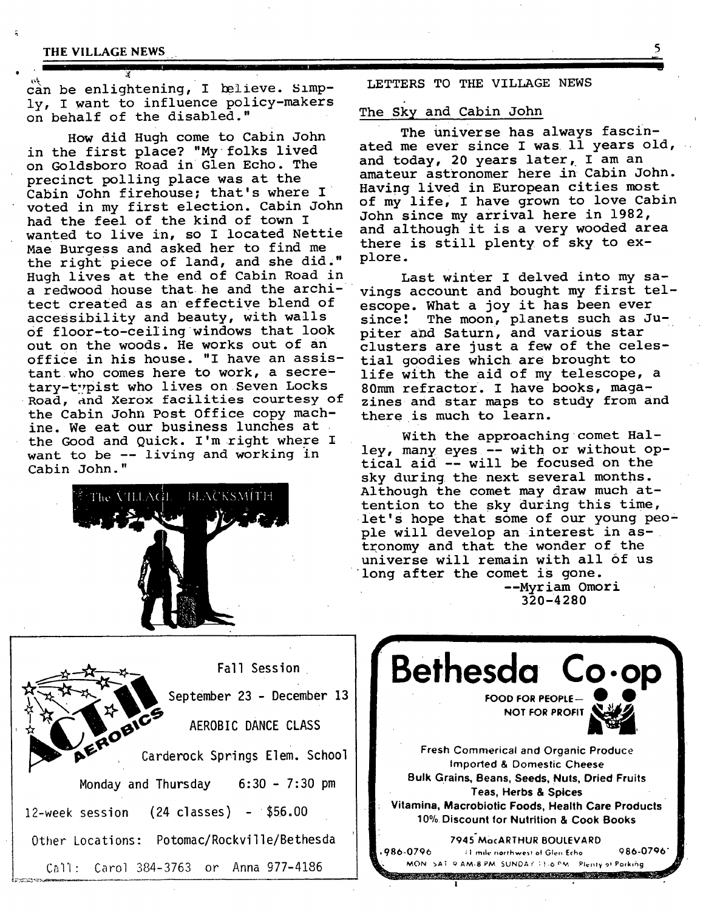#### **THE VILLAGE NEWS**

can be enlightening, I believe. Simply, I want to influence policy-makers on behalf of the disabled."

How did Hugh come to Cabin John in the first place? "My folks lived on Goldsboro Road in Glen Echo. The precinct polling place was at the Cabin John firehouse; that's where I voted in my first election. Cabin John had the feel of the kind of town I wanted to live in, so I located Nettie Mae Burgess and asked her to find me the right piece of land, and she did," Of floor-to-ceiIing windows that look out on the woods. He works out of an office in his house. "I have an assistant who comes here to work, a secretary-typist who lives on Seven Locks Road, and Xerox facilities courtesy of the Cabin John Post Office copy machine. We eat our business lunches at the Good and Quick. I'm right where I want to be -- living and working in Cabin John." Hugh lives at the end of Cabin Road in Last winter I delved into my sa-<br>a redwood house that he and the archi- vings account and bought my first tel a redwood house that he and the archi- vings account and bought my first tel-<br>tect created as an effective blend of escope, What a joy it has been ever tect created as an effective blend of escope. What a joy it has been ever<br>accessibility and beauty, with walls since! The moon, planets such as J



LETTERS TO THE VILLAGE NEWS

#### The Sky and Cabin John

The universe has always fascinated me ever since I was ll years old, and today, 20 years later, I am an amateur astronomer here in Cabin John. Having lived in European cities most of my life, I have grown to love Cabin John since my arrival here in 1982, and although it is a very wooded area there is still plenty of sky to explore.

since! The moon, planets such as Jupiter and Saturn, and various star clusters are just a few of the celestial goodies which are brought to life with the aid of my telescope, a 80mm refractor. I have books, magazines and star maps to study from and there is much to learn.

With the approaching comet Halley, many eyes-- with or without optical aid-- will be focused on the sky during the next several months. Although the comet may draw much attention to the sky during this time, let's hope that some of our young people will develop an interest in astronomy and that the wonder of the universe will remain with all of us long after the comet is gone. --Myriam Omori 320-4280

Fall Session September 23 - December 13 **AOBILE AEROBIC DANCE CLASS** Carderock Springs Elem. School Monday and Thursday  $6:30 - 7:30$  pm  $12$ -week session  $(24 \text{ classes})$  -  $$56.00$ Other Locations: Potomac/Rockville/Bethesda **C;~'I'I:** Carol 384-3763 or Anna 977-4186